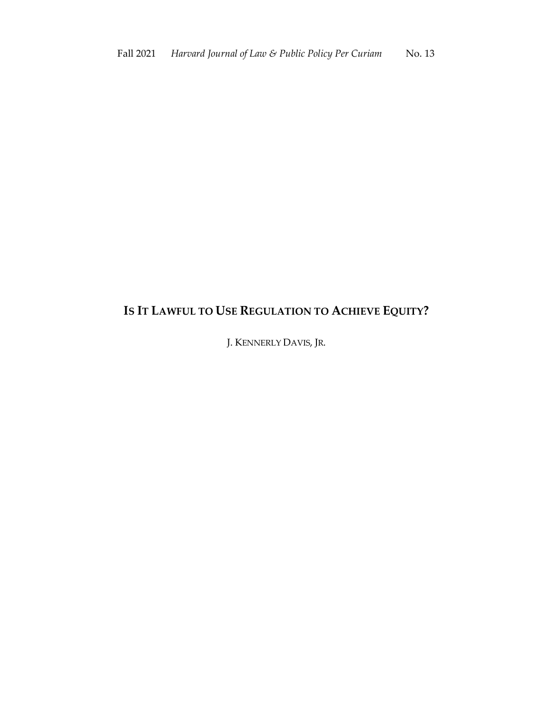## **IS IT LAWFUL TO USE REGULATION TO ACHIEVE EQUITY?**

J. KENNERLY DAVIS, JR.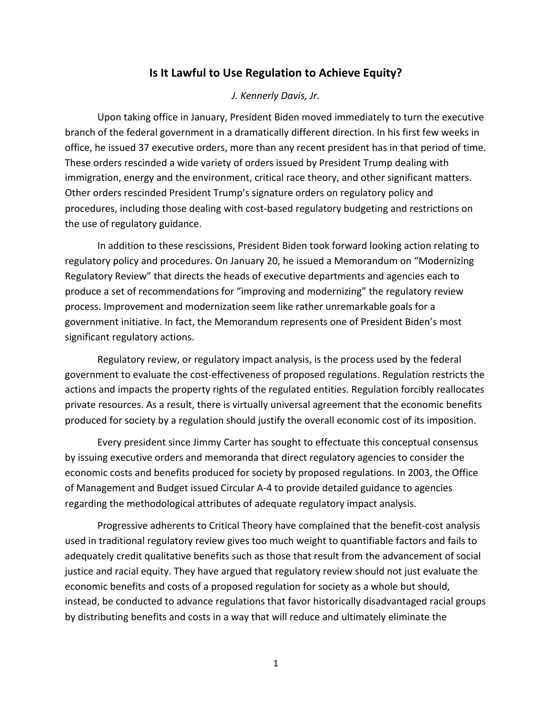## **Is It Lawful to Use Regulation to Achieve Equity?**

## *J. Kennerly Davis, Jr.*

Upon taking office in January, President Biden moved immediately to turn the executive branch of the federal government in a dramatically different direction. In his first few weeks in office, he issued 37 executive orders, more than any recent president has in that period of time. These orders rescinded a wide variety of orders issued by President Trump dealing with immigration, energy and the environment, critical race theory, and other significant matters. Other orders rescinded President Trump's signature orders on regulatory policy and procedures, including those dealing with cost-based regulatory budgeting and restrictions on the use of regulatory guidance.

In addition to these rescissions, President Biden took forward looking action relating to regulatory policy and procedures. On January 20, he issued a Memorandum on "Modernizing Regulatory Review" that directs the heads of executive departments and agencies each to produce a set of recommendations for "improving and modernizing" the regulatory review process. Improvement and modernization seem like rather unremarkable goals for a government initiative. In fact, the Memorandum represents one of President Biden's most significant regulatory actions.

Regulatory review, or regulatory impact analysis, is the process used by the federal government to evaluate the cost-effectiveness of proposed regulations. Regulation restricts the actions and impacts the property rights of the regulated entities. Regulation forcibly reallocates private resources. As a result, there is virtually universal agreement that the economic benefits produced for society by a regulation should justify the overall economic cost of its imposition.

Every president since Jimmy Carter has sought to effectuate this conceptual consensus by issuing executive orders and memoranda that direct regulatory agencies to consider the economic costs and benefits produced for society by proposed regulations. In 2003, the Office of Management and Budget issued Circular A-4 to provide detailed guidance to agencies regarding the methodological attributes of adequate regulatory impact analysis.

Progressive adherents to Critical Theory have complained that the benefit-cost analysis used in traditional regulatory review gives too much weight to quantifiable factors and fails to adequately credit qualitative benefits such as those that result from the advancement of social justice and racial equity. They have argued that regulatory review should not just evaluate the economic benefits and costs of a proposed regulation for society as a whole but should, instead, be conducted to advance regulations that favor historically disadvantaged racial groups by distributing benefits and costs in a way that will reduce and ultimately eliminate the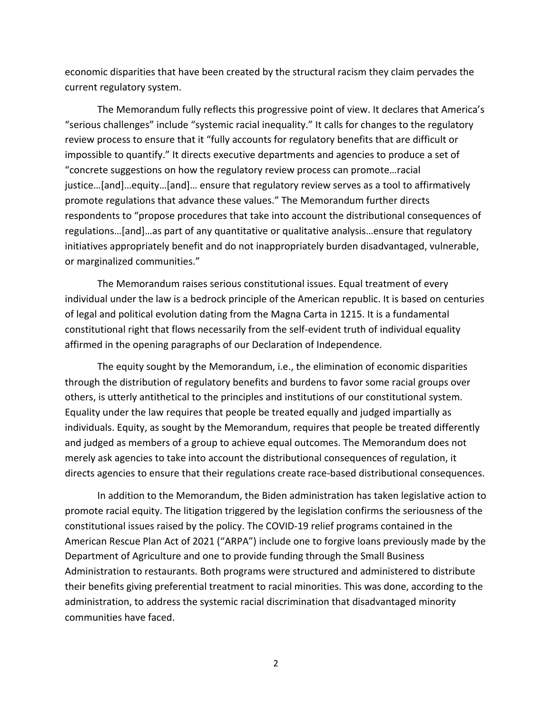economic disparities that have been created by the structural racism they claim pervades the current regulatory system.

The Memorandum fully reflects this progressive point of view. It declares that America's "serious challenges" include "systemic racial inequality." It calls for changes to the regulatory review process to ensure that it "fully accounts for regulatory benefits that are difficult or impossible to quantify." It directs executive departments and agencies to produce a set of "concrete suggestions on how the regulatory review process can promote…racial justice…[and]…equity…[and]… ensure that regulatory review serves as a tool to affirmatively promote regulations that advance these values." The Memorandum further directs respondents to "propose procedures that take into account the distributional consequences of regulations…[and]…as part of any quantitative or qualitative analysis…ensure that regulatory initiatives appropriately benefit and do not inappropriately burden disadvantaged, vulnerable, or marginalized communities."

The Memorandum raises serious constitutional issues. Equal treatment of every individual under the law is a bedrock principle of the American republic. It is based on centuries of legal and political evolution dating from the Magna Carta in 1215. It is a fundamental constitutional right that flows necessarily from the self-evident truth of individual equality affirmed in the opening paragraphs of our Declaration of Independence.

The equity sought by the Memorandum, i.e., the elimination of economic disparities through the distribution of regulatory benefits and burdens to favor some racial groups over others, is utterly antithetical to the principles and institutions of our constitutional system. Equality under the law requires that people be treated equally and judged impartially as individuals. Equity, as sought by the Memorandum, requires that people be treated differently and judged as members of a group to achieve equal outcomes. The Memorandum does not merely ask agencies to take into account the distributional consequences of regulation, it directs agencies to ensure that their regulations create race-based distributional consequences.

In addition to the Memorandum, the Biden administration has taken legislative action to promote racial equity. The litigation triggered by the legislation confirms the seriousness of the constitutional issues raised by the policy. The COVID-19 relief programs contained in the American Rescue Plan Act of 2021 ("ARPA") include one to forgive loans previously made by the Department of Agriculture and one to provide funding through the Small Business Administration to restaurants. Both programs were structured and administered to distribute their benefits giving preferential treatment to racial minorities. This was done, according to the administration, to address the systemic racial discrimination that disadvantaged minority communities have faced.